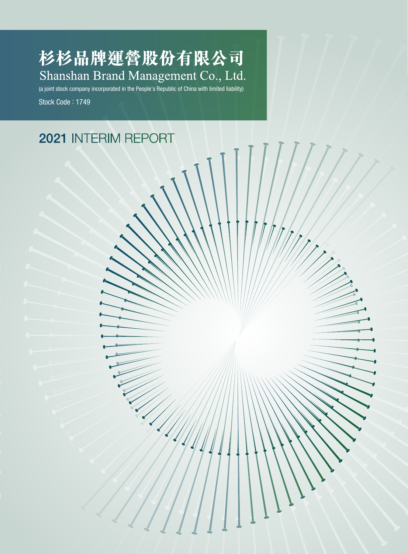杉杉品牌運營股份有限公司 Shanshan Brand Management Co., Ltd.

(a joint stock company incorporated in the People's Republic of China with limited liability) Stock Code : 1749

# 2021 INTERIM REPORT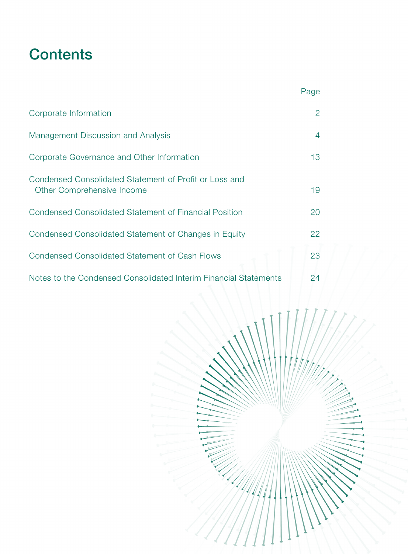# **Contents**

|                                                                                      | Page           |
|--------------------------------------------------------------------------------------|----------------|
| Corporate Information                                                                | 2              |
| Management Discussion and Analysis                                                   | $\overline{4}$ |
| Corporate Governance and Other Information                                           | 13             |
| Condensed Consolidated Statement of Profit or Loss and<br>Other Comprehensive Income | 19             |
| Condensed Consolidated Statement of Financial Position                               | 20             |
| Condensed Consolidated Statement of Changes in Equity                                | 22             |
| <b>Condensed Consolidated Statement of Cash Flows</b>                                | 23             |
| Notes to the Condensed Consolidated Interim Financial Statements                     | 24             |

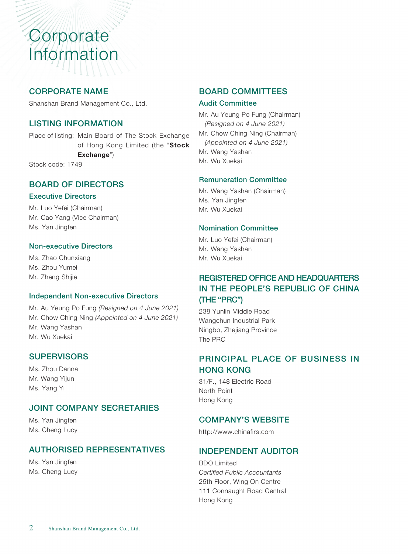# Corporate Information

# CORPORATE NAME

Shanshan Brand Management Co., Ltd.

#### LISTING INFORMATION

Place of listing: Main Board of The Stock Exchange of Hong Kong Limited (the "Stock Exchange")

Stock code: 1749

#### BOARD OF DIRECTORS

#### Executive Directors

Mr. Luo Yefei (Chairman) Mr. Cao Yang (Vice Chairman) Ms. Yan Jingfen

#### Non-executive Directors

Ms. Zhao Chunxiang Ms. Zhou Yumei Mr. Zheng Shijie

#### Independent Non-executive Directors

Mr. Au Yeung Po Fung *(Resigned on 4 June 2021)* Mr. Chow Ching Ning *(Appointed on 4 June 2021)* Mr. Wang Yashan Mr. Wu Xuekai

#### **SUPERVISORS**

Ms. Zhou Danna Mr. Wang Yijun Ms. Yang Yi

#### JOINT COMPANY SECRETARIES

Ms. Yan Jingfen Ms. Cheng Lucy

# AUTHORISED REPRESENTATIVES

Ms. Yan Jingfen Ms. Cheng Lucy

#### BOARD COMMITTEES

#### Audit Committee

Mr. Au Yeung Po Fung (Chairman) *(Resigned on 4 June 2021)* Mr. Chow Ching Ning (Chairman) *(Appointed on 4 June 2021)* Mr. Wang Yashan Mr. Wu Xuekai

#### Remuneration Committee

Mr. Wang Yashan (Chairman) Ms. Yan Jingfen Mr. Wu Xuekai

#### Nomination Committee

Mr. Luo Yefei (Chairman) Mr. Wang Yashan Mr. Wu Xuekai

# REGISTERED OFFICE AND HEADQUARTERS IN THE PEOPLE'S REPUBLIC OF CHINA (THE "PRC")

238 Yunlin Middle Road Wangchun Industrial Park Ningbo, Zhejiang Province The PRC

# PRINCIPAL PLACE OF BUSINESS IN HONG KONG

31/F., 148 Electric Road North Point Hong Kong

#### COMPANY'S WEBSITE

http://www.chinafirs.com

# INDEPENDENT AUDITOR

BDO Limited *Certified Public Accountants*  25th Floor, Wing On Centre 111 Connaught Road Central Hong Kong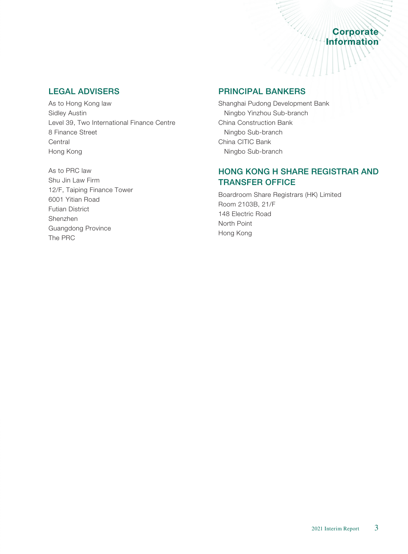# **Example 2016**<br> **Corporate** Corporate

# LEGAL ADVISERS

As to Hong Kong law Sidley Austin Level 39, Two International Finance Centre 8 Finance Street **Central** Hong Kong

As to PRC law Shu Jin Law Firm 12/F, Taiping Finance Tower 6001 Yitian Road Futian District Shenzhen Guangdong Province The PRC

#### PRINCIPAL BANKERS

Shanghai Pudong Development Bank Ningbo Yinzhou Sub-branch China Construction Bank Ningbo Sub-branch China CITIC Bank Ningbo Sub-branch

# HONG KONG H SHARE REGISTRAR AND TRANSFER OFFICE

Boardroom Share Registrars (HK) Limited Room 2103B, 21/F 148 Electric Road North Point Hong Kong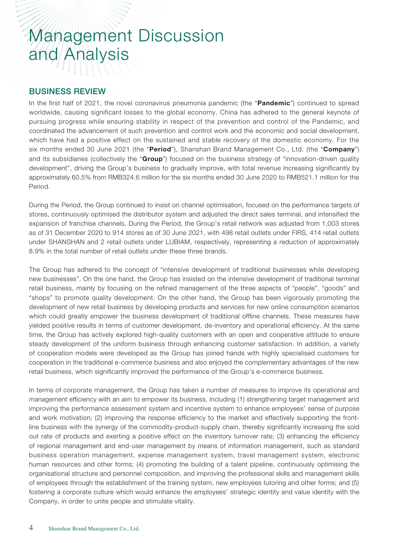#### BUSINESS REVIEW

In the first half of 2021, the novel coronavirus pneumonia pandemic (the "Pandemic") continued to spread worldwide, causing significant losses to the global economy. China has adhered to the general keynote of pursuing progress while ensuring stability in respect of the prevention and control of the Pandemic, and coordinated the advancement of such prevention and control work and the economic and social development, which have had a positive effect on the sustained and stable recovery of the domestic economy. For the six months ended 30 June 2021 (the "Period"), Shanshan Brand Management Co., Ltd. (the "Company") and its subsidiaries (collectively the "Group") focused on the business strategy of "innovation-driven quality development", driving the Group's business to gradually improve, with total revenue increasing significantly by approximately 60.5% from RMB324.6 million for the six months ended 30 June 2020 to RMB521.1 million for the Period.

During the Period, the Group continued to insist on channel optimisation, focused on the performance targets of stores, continuously optimised the distributor system and adjusted the direct sales terminal, and intensified the expansion of franchise channels. During the Period, the Group's retail network was adjusted from 1,003 stores as of 31 December 2020 to 914 stores as of 30 June 2021, with 498 retail outlets under FIRS, 414 retail outlets under SHANSHAN and 2 retail outlets under LUBIAM, respectively, representing a reduction of approximately 8.9% in the total number of retail outlets under these three brands.

The Group has adhered to the concept of "intensive development of traditional businesses while developing new businesses". On the one hand, the Group has insisted on the intensive development of traditional terminal retail business, mainly by focusing on the refined management of the three aspects of "people", "goods" and "shops" to promote quality development. On the other hand, the Group has been vigorously promoting the development of new retail business by developing products and services for new online consumption scenarios which could greatly empower the business development of traditional offline channels. These measures have yielded positive results in terms of customer development, de-inventory and operational efficiency. At the same time, the Group has actively explored high-quality customers with an open and cooperative attitude to ensure steady development of the uniform business through enhancing customer satisfaction. In addition, a variety of cooperation models were developed as the Group has joined hands with highly specialised customers for cooperation in the traditional e-commerce business and also enjoyed the complementary advantages of the new retail business, which significantly improved the performance of the Group's e-commerce business.

In terms of corporate management, the Group has taken a number of measures to improve its operational and management efficiency with an aim to empower its business, including (1) strengthening target management and improving the performance assessment system and incentive system to enhance employees' sense of purpose and work motivation; (2) improving the response efficiency to the market and effectively supporting the frontline business with the synergy of the commodity-product-supply chain, thereby significantly increasing the sold out rate of products and exerting a positive effect on the inventory turnover rate; (3) enhancing the efficiency of regional management and end-user management by means of information management, such as standard business operation management, expense management system, travel management system, electronic human resources and other forms; (4) promoting the building of a talent pipeline, continuously optimising the organisational structure and personnel composition, and improving the professional skills and management skills of employees through the establishment of the training system, new employees tutoring and other forms; and (5) fostering a corporate culture which would enhance the employees' strategic identity and value identity with the Company, in order to unite people and stimulate vitality.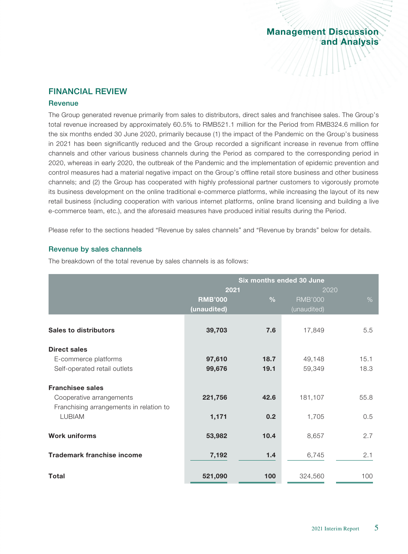$\frac{1}{2}$ 

#### FINANCIAL REVIEW

#### **Revenue**

The Group generated revenue primarily from sales to distributors, direct sales and franchisee sales. The Group's total revenue increased by approximately 60.5% to RMB521.1 million for the Period from RMB324.6 million for the six months ended 30 June 2020, primarily because (1) the impact of the Pandemic on the Group's business in 2021 has been significantly reduced and the Group recorded a significant increase in revenue from offline channels and other various business channels during the Period as compared to the corresponding period in 2020, whereas in early 2020, the outbreak of the Pandemic and the implementation of epidemic prevention and control measures had a material negative impact on the Group's offline retail store business and other business channels; and (2) the Group has cooperated with highly professional partner customers to vigorously promote its business development on the online traditional e-commerce platforms, while increasing the layout of its new retail business (including cooperation with various internet platforms, online brand licensing and building a live e-commerce team, etc.), and the aforesaid measures have produced initial results during the Period.

Please refer to the sections headed "Revenue by sales channels" and "Revenue by brands" below for details.

#### Revenue by sales channels

The breakdown of the total revenue by sales channels is as follows:

|                                         | Six months ended 30 June |               |                |      |
|-----------------------------------------|--------------------------|---------------|----------------|------|
|                                         | 2021                     |               | 2020           |      |
|                                         | <b>RMB'000</b>           | $\frac{0}{0}$ | <b>RMB'000</b> | $\%$ |
|                                         | (unaudited)              |               | (unaudited)    |      |
|                                         |                          |               |                |      |
| <b>Sales to distributors</b>            | 39,703                   | 7.6           | 17,849         | 5.5  |
| <b>Direct sales</b>                     |                          |               |                |      |
| E-commerce platforms                    | 97,610                   | 18.7          | 49,148         | 15.1 |
| Self-operated retail outlets            | 99,676                   | 19.1          | 59,349         | 18.3 |
| <b>Franchisee sales</b>                 |                          |               |                |      |
| Cooperative arrangements                | 221,756                  | 42.6          | 181,107        | 55.8 |
| Franchising arrangements in relation to |                          |               |                |      |
| <b>LUBIAM</b>                           | 1,171                    | 0.2           | 1,705          | 0.5  |
| <b>Work uniforms</b>                    | 53,982                   | 10.4          | 8,657          | 2.7  |
|                                         |                          |               |                |      |
| <b>Trademark franchise income</b>       | 7,192                    | 1.4           | 6,745          | 2.1  |
|                                         |                          |               |                |      |
| Total                                   | 521,090                  | 100           | 324,560        | 100  |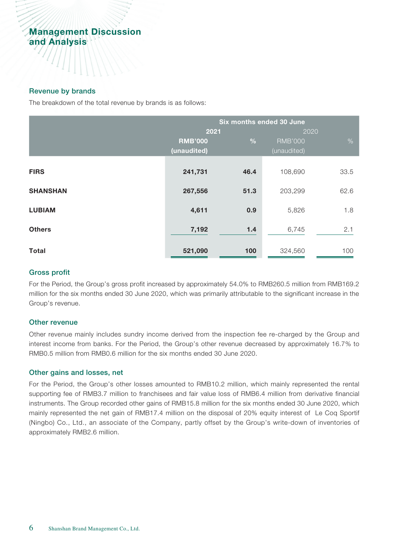#### Revenue by brands

The breakdown of the total revenue by brands is as follows:

|                 | Six months ended 30 June |               |                |      |  |
|-----------------|--------------------------|---------------|----------------|------|--|
|                 | 2021                     |               | 2020           |      |  |
|                 | <b>RMB'000</b>           | $\frac{0}{0}$ | <b>RMB'000</b> | $\%$ |  |
|                 | (unaudited)              |               | (unaudited)    |      |  |
| <b>FIRS</b>     | 241,731                  | 46.4          | 108,690        | 33.5 |  |
| <b>SHANSHAN</b> | 267,556                  | 51.3          | 203,299        | 62.6 |  |
| <b>LUBIAM</b>   | 4,611                    | 0.9           | 5,826          | 1.8  |  |
| <b>Others</b>   | 7,192                    | 1.4           | 6,745          | 2.1  |  |
| <b>Total</b>    | 521,090                  | 100           | 324,560        | 100  |  |

#### Gross profit

For the Period, the Group's gross profit increased by approximately 54.0% to RMB260.5 million from RMB169.2 million for the six months ended 30 June 2020, which was primarily attributable to the significant increase in the Group's revenue.

#### Other revenue

Other revenue mainly includes sundry income derived from the inspection fee re-charged by the Group and interest income from banks. For the Period, the Group's other revenue decreased by approximately 16.7% to RMB0.5 million from RMB0.6 million for the six months ended 30 June 2020.

#### Other gains and losses, net

For the Period, the Group's other losses amounted to RMB10.2 million, which mainly represented the rental supporting fee of RMB3.7 million to franchisees and fair value loss of RMB6.4 million from derivative financial instruments. The Group recorded other gains of RMB15.8 million for the six months ended 30 June 2020, which mainly represented the net gain of RMB17.4 million on the disposal of 20% equity interest of Le Coq Sportif (Ningbo) Co., Ltd., an associate of the Company, partly offset by the Group's write-down of inventories of approximately RMB2.6 million.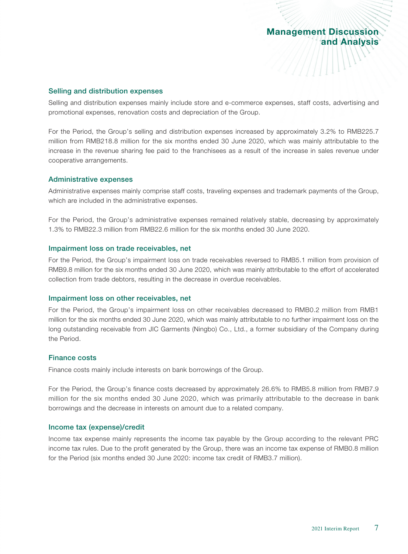Selling and distribution expenses

Selling and distribution expenses mainly include store and e-commerce expenses, staff costs, advertising and promotional expenses, renovation costs and depreciation of the Group.

For the Period, the Group's selling and distribution expenses increased by approximately 3.2% to RMB225.7 million from RMB218.8 million for the six months ended 30 June 2020, which was mainly attributable to the increase in the revenue sharing fee paid to the franchisees as a result of the increase in sales revenue under cooperative arrangements.

#### Administrative expenses

Administrative expenses mainly comprise staff costs, traveling expenses and trademark payments of the Group, which are included in the administrative expenses.

For the Period, the Group's administrative expenses remained relatively stable, decreasing by approximately 1.3% to RMB22.3 million from RMB22.6 million for the six months ended 30 June 2020.

#### Impairment loss on trade receivables, net

For the Period, the Group's impairment loss on trade receivables reversed to RMB5.1 million from provision of RMB9.8 million for the six months ended 30 June 2020, which was mainly attributable to the effort of accelerated collection from trade debtors, resulting in the decrease in overdue receivables.

#### Impairment loss on other receivables, net

For the Period, the Group's impairment loss on other receivables decreased to RMB0.2 million from RMB1 million for the six months ended 30 June 2020, which was mainly attributable to no further impairment loss on the long outstanding receivable from JIC Garments (Ningbo) Co., Ltd., a former subsidiary of the Company during the Period.

#### Finance costs

Finance costs mainly include interests on bank borrowings of the Group.

For the Period, the Group's finance costs decreased by approximately 26.6% to RMB5.8 million from RMB7.9 million for the six months ended 30 June 2020, which was primarily attributable to the decrease in bank borrowings and the decrease in interests on amount due to a related company.

#### Income tax (expense)/credit

Income tax expense mainly represents the income tax payable by the Group according to the relevant PRC income tax rules. Due to the profit generated by the Group, there was an income tax expense of RMB0.8 million for the Period (six months ended 30 June 2020: income tax credit of RMB3.7 million).

Management Discussion

and Analysis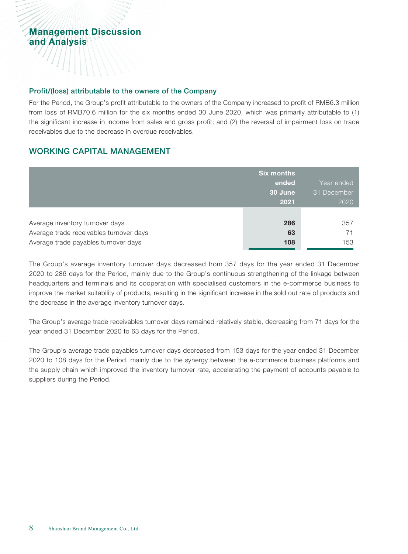#### Profit/(loss) attributable to the owners of the Company

For the Period, the Group's profit attributable to the owners of the Company increased to profit of RMB6.3 million from loss of RMB70.6 million for the six months ended 30 June 2020, which was primarily attributable to (1) the significant increase in income from sales and gross profit; and (2) the reversal of impairment loss on trade receivables due to the decrease in overdue receivables.

### WORKING CAPITAL MANAGEMENT

|                                         | <b>Six months</b><br>ended<br>30 June<br>2021 | Year ended<br>31 December<br>2020 |
|-----------------------------------------|-----------------------------------------------|-----------------------------------|
| Average inventory turnover days         | 286                                           | 357                               |
| Average trade receivables turnover days | 63                                            | 71                                |
| Average trade payables turnover days    | 108                                           | 153                               |

The Group's average inventory turnover days decreased from 357 days for the year ended 31 December 2020 to 286 days for the Period, mainly due to the Group's continuous strengthening of the linkage between headquarters and terminals and its cooperation with specialised customers in the e-commerce business to improve the market suitability of products, resulting in the significant increase in the sold out rate of products and the decrease in the average inventory turnover days.

The Group's average trade receivables turnover days remained relatively stable, decreasing from 71 days for the year ended 31 December 2020 to 63 days for the Period.

The Group's average trade payables turnover days decreased from 153 days for the year ended 31 December 2020 to 108 days for the Period, mainly due to the synergy between the e-commerce business platforms and the supply chain which improved the inventory turnover rate, accelerating the payment of accounts payable to suppliers during the Period.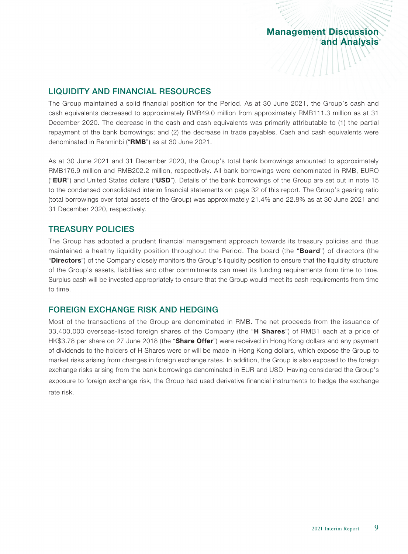#### LIQUIDITY AND FINANCIAL RESOURCES

The Group maintained a solid financial position for the Period. As at 30 June 2021, the Group's cash and cash equivalents decreased to approximately RMB49.0 million from approximately RMB111.3 million as at 31 December 2020. The decrease in the cash and cash equivalents was primarily attributable to (1) the partial repayment of the bank borrowings; and (2) the decrease in trade payables. Cash and cash equivalents were denominated in Renminbi ("RMB") as at 30 June 2021.

As at 30 June 2021 and 31 December 2020, the Group's total bank borrowings amounted to approximately RMB176.9 million and RMB202.2 million, respectively. All bank borrowings were denominated in RMB, EURO ("EUR") and United States dollars ("USD"). Details of the bank borrowings of the Group are set out in note 15 to the condensed consolidated interim financial statements on page 32 of this report. The Group's gearing ratio (total borrowings over total assets of the Group) was approximately 21.4% and 22.8% as at 30 June 2021 and 31 December 2020, respectively.

#### TREASURY POLICIES

The Group has adopted a prudent financial management approach towards its treasury policies and thus maintained a healthy liquidity position throughout the Period. The board (the "**Board**") of directors (the "Directors") of the Company closely monitors the Group's liquidity position to ensure that the liquidity structure of the Group's assets, liabilities and other commitments can meet its funding requirements from time to time. Surplus cash will be invested appropriately to ensure that the Group would meet its cash requirements from time to time.

#### FOREIGN EXCHANGE RISK AND HEDGING

Most of the transactions of the Group are denominated in RMB. The net proceeds from the issuance of 33,400,000 overseas-listed foreign shares of the Company (the "H Shares") of RMB1 each at a price of HK\$3.78 per share on 27 June 2018 (the "Share Offer") were received in Hong Kong dollars and any payment of dividends to the holders of H Shares were or will be made in Hong Kong dollars, which expose the Group to market risks arising from changes in foreign exchange rates. In addition, the Group is also exposed to the foreign exchange risks arising from the bank borrowings denominated in EUR and USD. Having considered the Group's exposure to foreign exchange risk, the Group had used derivative financial instruments to hedge the exchange rate risk.

Management Discussion

**AAAANINY** 

and Analysis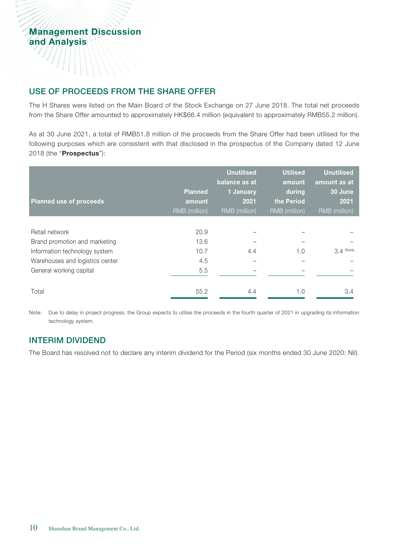#### USE OF PROCEEDS FROM THE SHARE OFFER

The H Shares were listed on the Main Board of the Stock Exchange on 27 June 2018. The total net proceeds from the Share Offer amounted to approximately HK\$66.4 million (equivalent to approximately RMB55.2 million).

As at 30 June 2021, a total of RMB51.8 million of the proceeds from the Share Offer had been utilised for the following purposes which are consistent with that disclosed in the prospectus of the Company dated 12 June 2018 (the "Prospectus"):

|                                 | <b>Planned</b> | <b>Unutilised</b><br>balance as at<br>1 January | <b>Utilised</b><br>amount<br>during | <b>Unutilised</b><br>amount as at<br>30 June |
|---------------------------------|----------------|-------------------------------------------------|-------------------------------------|----------------------------------------------|
| <b>Planned use of proceeds</b>  | amount         | 2021                                            | the Period                          | 2021                                         |
|                                 | RMB (million)  | RMB (million)                                   | RMB (million)                       | RMB (million)                                |
|                                 |                |                                                 |                                     |                                              |
| Retail network                  | 20.9           |                                                 |                                     |                                              |
| Brand promotion and marketing   | 13.6           |                                                 |                                     |                                              |
| Information technology system   | 10.7           | 4.4                                             | 1.0                                 | $3.4$ (Note)                                 |
| Warehouses and logistics center | 4.5            |                                                 |                                     |                                              |
| General working capital         | 5.5            |                                                 |                                     |                                              |
|                                 |                |                                                 |                                     |                                              |
| Total                           | 55.2           | 4.4                                             | 1.0                                 | 3.4                                          |

Note: Due to delay in project progress, the Group expects to utilise the proceeds in the fourth quarter of 2021 in upgrading its information technology system.

# INTERIM DIVIDEND

The Board has resolved not to declare any interim dividend for the Period (six months ended 30 June 2020: Nil).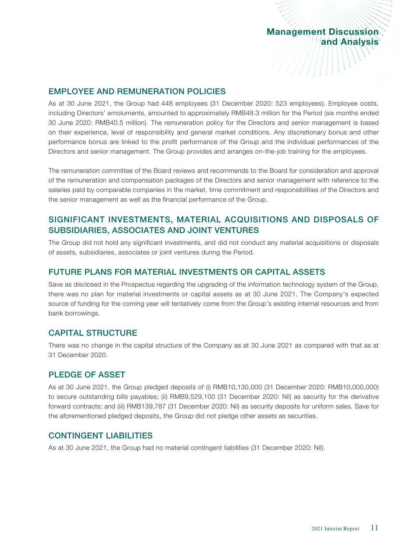//////////////

#### EMPLOYEE AND REMUNERATION POLICIES

As at 30 June 2021, the Group had 448 employees (31 December 2020: 523 employees). Employee costs, including Directors' emoluments, amounted to approximately RMB48.3 million for the Period (six months ended 30 June 2020: RMB40.5 million). The remuneration policy for the Directors and senior management is based on their experience, level of responsibility and general market conditions. Any discretionary bonus and other performance bonus are linked to the profit performance of the Group and the individual performances of the Directors and senior management. The Group provides and arranges on-the-job training for the employees.

The remuneration committee of the Board reviews and recommends to the Board for consideration and approval of the remuneration and compensation packages of the Directors and senior management with reference to the salaries paid by comparable companies in the market, time commitment and responsibilities of the Directors and the senior management as well as the financial performance of the Group.

# SIGNIFICANT INVESTMENTS, MATERIAL ACQUISITIONS AND DISPOSALS OF SUBSIDIARIES, ASSOCIATES AND JOINT VENTURES

The Group did not hold any significant investments, and did not conduct any material acquisitions or disposals of assets, subsidiaries, associates or joint ventures during the Period.

#### FUTURE PLANS FOR MATERIAL INVESTMENTS OR CAPITAL ASSETS

Save as disclosed in the Prospectus regarding the upgrading of the information technology system of the Group, there was no plan for material investments or capital assets as at 30 June 2021. The Company's expected source of funding for the coming year will tentatively come from the Group's existing internal resources and from bank borrowings.

#### CAPITAL STRUCTURE

There was no change in the capital structure of the Company as at 30 June 2021 as compared with that as at 31 December 2020.

#### PLEDGE OF ASSET

As at 30 June 2021, the Group pledged deposits of (i) RMB10,130,000 (31 December 2020: RMB10,000,000) to secure outstanding bills payables; (ii) RMB9,529,100 (31 December 2020: Nil) as security for the derivative forward contracts; and (iii) RMB139,787 (31 December 2020: Nil) as security deposits for uniform sales. Save for the aforementioned pledged deposits, the Group did not pledge other assets as securities.

#### CONTINGENT LIABILITIES

As at 30 June 2021, the Group had no material contingent liabilities (31 December 2020: Nil).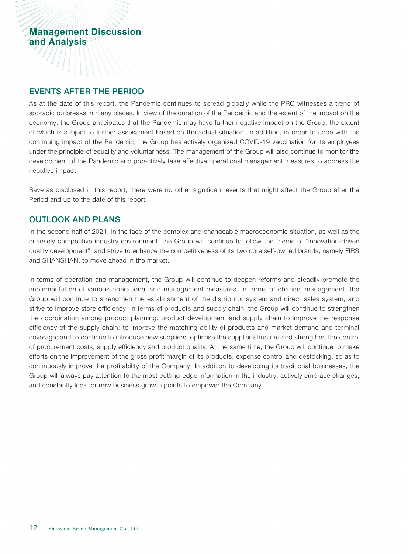#### EVENTS AFTER THE PERIOD

As at the date of this report, the Pandemic continues to spread globally while the PRC witnesses a trend of sporadic outbreaks in many places. In view of the duration of the Pandemic and the extent of the impact on the economy, the Group anticipates that the Pandemic may have further negative impact on the Group, the extent of which is subject to further assessment based on the actual situation. In addition, in order to cope with the continuing impact of the Pandemic, the Group has actively organised COVID-19 vaccination for its employees under the principle of equality and voluntariness. The management of the Group will also continue to monitor the development of the Pandemic and proactively take effective operational management measures to address the negative impact.

Save as disclosed in this report, there were no other significant events that might affect the Group after the Period and up to the date of this report.

#### OUTLOOK AND PLANS

In the second half of 2021, in the face of the complex and changeable macroeconomic situation, as well as the intensely competitive industry environment, the Group will continue to follow the theme of "innovation-driven quality development", and strive to enhance the competitiveness of its two core self-owned brands, namely FIRS and SHANSHAN, to move ahead in the market.

In terms of operation and management, the Group will continue to deepen reforms and steadily promote the implementation of various operational and management measures. In terms of channel management, the Group will continue to strengthen the establishment of the distributor system and direct sales system, and strive to improve store efficiency. In terms of products and supply chain, the Group will continue to strengthen the coordination among product planning, product development and supply chain to improve the response efficiency of the supply chain; to improve the matching ability of products and market demand and terminal coverage; and to continue to introduce new suppliers, optimise the supplier structure and strengthen the control of procurement costs, supply efficiency and product quality. At the same time, the Group will continue to make efforts on the improvement of the gross profit margin of its products, expense control and destocking, so as to continuously improve the profitability of the Company. In addition to developing its traditional businesses, the Group will always pay attention to the most cutting-edge information in the industry, actively embrace changes, and constantly look for new business growth points to empower the Company.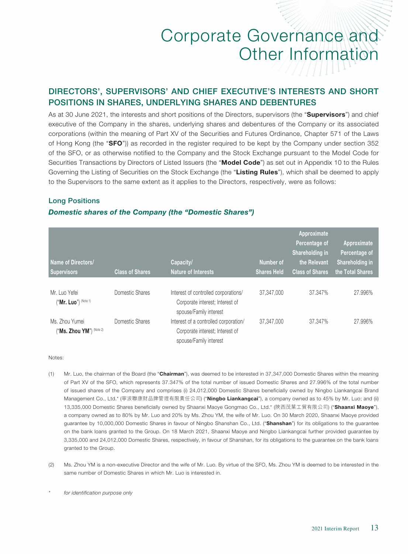# DIRECTORS', SUPERVISORS' AND CHIEF EXECUTIVE'S INTERESTS AND SHORT POSITIONS IN SHARES, UNDERLYING SHARES AND DEBENTURES

As at 30 June 2021, the interests and short positions of the Directors, supervisors (the "Supervisors") and chief executive of the Company in the shares, underlying shares and debentures of the Company or its associated corporations (within the meaning of Part XV of the Securities and Futures Ordinance, Chapter 571 of the Laws of Hong Kong (the "SFO")) as recorded in the register required to be kept by the Company under section 352 of the SFO, or as otherwise notified to the Company and the Stock Exchange pursuant to the Model Code for Securities Transactions by Directors of Listed Issuers (the "Model Code") as set out in Appendix 10 to the Rules Governing the Listing of Securities on the Stock Exchange (the "Listing Rules"), which shall be deemed to apply to the Supervisors to the same extent as it applies to the Directors, respectively, were as follows:

#### Long Positions

#### *Domestic shares of the Company (the "Domestic Shares")*

| Name of Directors/<br><b>Supervisors</b>   | <b>Class of Shares</b> | Capacity/<br>Nature of Interests                                                                   | Number of<br><b>Shares Held</b> | Approximate<br>Percentage of<br>Shareholding in<br>the Relevant<br><b>Class of Shares</b> | Approximate<br>Percentage of<br>Shareholding in<br>the Total Shares |
|--------------------------------------------|------------------------|----------------------------------------------------------------------------------------------------|---------------------------------|-------------------------------------------------------------------------------------------|---------------------------------------------------------------------|
| Mr. Luo Yefei<br>$("Mr. Luo")$ (Note 1)    | Domestic Shares        | Interest of controlled corporations/<br>Corporate interest; Interest of<br>spouse/Family interest  | 37,347,000                      | 37.347%                                                                                   | 27.996%                                                             |
| Ms. Zhou Yumei<br>("Ms. Zhou YM") (Note 2) | Domestic Shares        | Interest of a controlled corporation/<br>Corporate interest; Interest of<br>spouse/Family interest | 37,347,000                      | 37.347%                                                                                   | 27.996%                                                             |

Notes:

- (1) Mr. Luo, the chairman of the Board (the "Chairman"), was deemed to be interested in 37,347,000 Domestic Shares within the meaning of Part XV of the SFO, which represents 37.347% of the total number of issued Domestic Shares and 27.996% of the total number of issued shares of the Company and comprises (i) 24,012,000 Domestic Shares beneficially owned by Ningbo Liankangcai Brand Management Co., Ltd.\* (寧波聯康財品牌管理有限責任公司) ("Ningbo Liankangcai"), a company owned as to 45% by Mr. Luo; and (ii) 13,335,000 Domestic Shares beneficially owned by Shaanxi Maoye Gongmao Co., Ltd.\* (陝西茂葉工貿有限公司) ("Shaanxi Maoye"), a company owned as to 80% by Mr. Luo and 20% by Ms. Zhou YM, the wife of Mr. Luo. On 30 March 2020, Shaanxi Maoye provided guarantee by 10,000,000 Domestic Shares in favour of Ningbo Shanshan Co., Ltd. ("Shanshan") for its obligations to the guarantee on the bank loans granted to the Group. On 18 March 2021, Shaanxi Maoye and Ningbo Liankangcai further provided guarantee by 3,335,000 and 24,012,000 Domestic Shares, respectively, in favour of Shanshan, for its obligations to the guarantee on the bank loans granted to the Group.
- (2) Ms. Zhou YM is a non-executive Director and the wife of Mr. Luo. By virtue of the SFO, Ms. Zhou YM is deemed to be interested in the same number of Domestic Shares in which Mr. Luo is interested in.

*<sup>\*</sup> for identification purpose only*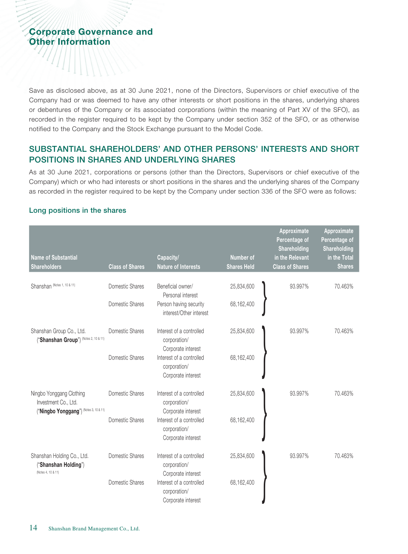Save as disclosed above, as at 30 June 2021, none of the Directors, Supervisors or chief executive of the Company had or was deemed to have any other interests or short positions in the shares, underlying shares or debentures of the Company or its associated corporations (within the meaning of Part XV of the SFO), as recorded in the register required to be kept by the Company under section 352 of the SFO, or as otherwise notified to the Company and the Stock Exchange pursuant to the Model Code.

# SUBSTANTIAL SHAREHOLDERS' AND OTHER PERSONS' INTERESTS AND SHORT POSITIONS IN SHARES AND UNDERLYING SHARES

As at 30 June 2021, corporations or persons (other than the Directors, Supervisors or chief executive of the Company) which or who had interests or short positions in the shares and the underlying shares of the Company as recorded in the register required to be kept by the Company under section 336 of the SFO were as follows:

#### Long positions in the shares

|                                                                                            |                        |                                                                |                    | Approximate<br>Percentage of<br>Shareholding | Approximate<br>Percentage of<br>Shareholding |
|--------------------------------------------------------------------------------------------|------------------------|----------------------------------------------------------------|--------------------|----------------------------------------------|----------------------------------------------|
| Name of Substantial                                                                        |                        | Capacity/                                                      | <b>Number of</b>   | in the Relevant                              | in the Total                                 |
| <b>Shareholders</b>                                                                        | <b>Class of Shares</b> | <b>Nature of Interests</b>                                     | <b>Shares Held</b> | <b>Class of Shares</b>                       | <b>Shares</b>                                |
| Shanshan (Notes 1, 10 & 11)                                                                | Domestic Shares        | Beneficial owner/<br>Personal interest                         | 25,834,600         | 93.997%                                      | 70.463%                                      |
|                                                                                            | Domestic Shares        | Person having security<br>interest/Other interest              | 68,162,400         |                                              |                                              |
| Shanshan Group Co., Ltd.<br>("Shanshan Group") (Notes 2, 10 & 11)                          | Domestic Shares        | Interest of a controlled<br>corporation/<br>Corporate interest | 25,834,600         | 93.997%                                      | 70.463%                                      |
|                                                                                            | Domestic Shares        | Interest of a controlled<br>corporation/<br>Corporate interest | 68,162,400         |                                              |                                              |
| Ningbo Yonggang Clothing<br>Investment Co., Ltd.<br>("Ningbo Yonggang") (Notes 3, 10 & 11) | Domestic Shares        | Interest of a controlled<br>corporation/<br>Corporate interest | 25,834,600         | 93.997%                                      | 70.463%                                      |
|                                                                                            | Domestic Shares        | Interest of a controlled<br>corporation/<br>Corporate interest | 68,162,400         |                                              |                                              |
| Shanshan Holding Co., Ltd.<br>"Shanshan Holding")<br>(Notes 4, 10 & 11)                    | Domestic Shares        | Interest of a controlled<br>corporation/<br>Corporate interest | 25,834,600         | 93.997%                                      | 70.463%                                      |
|                                                                                            | Domestic Shares        | Interest of a controlled<br>corporation/<br>Corporate interest | 68,162,400         |                                              |                                              |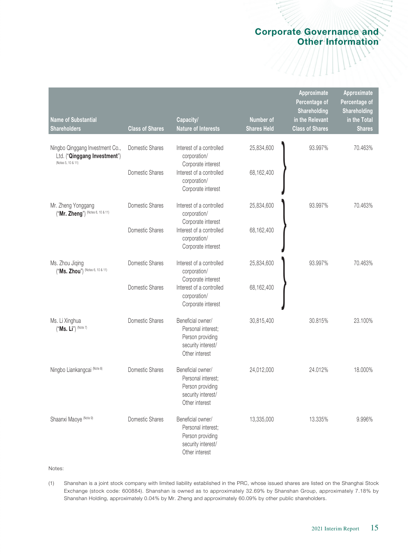| Name of Substantial<br><b>Shareholders</b>                                            | <b>Class of Shares</b> | Capacity/<br><b>Nature of Interests</b>                                                             | Number of<br><b>Shares Held</b> | Approximate<br>Percentage of<br>Shareholding<br>in the Relevant<br><b>Class of Shares</b> | Approximate<br>Percentage of<br>Shareholding<br>in the Total<br><b>Shares</b> |
|---------------------------------------------------------------------------------------|------------------------|-----------------------------------------------------------------------------------------------------|---------------------------------|-------------------------------------------------------------------------------------------|-------------------------------------------------------------------------------|
| Ningbo Qinggang Investment Co.,<br>Ltd. ("Qinggang Investment")<br>(Notes 5, 10 & 11) | Domestic Shares        | Interest of a controlled<br>corporation/<br>Corporate interest                                      | 25,834,600                      | 93.997%                                                                                   | 70.463%                                                                       |
|                                                                                       | Domestic Shares        | Interest of a controlled<br>corporation/<br>Corporate interest                                      | 68,162,400                      |                                                                                           |                                                                               |
| Mr. Zheng Yonggang<br>("Mr. Zheng") (Notes 6, 10 & 11)                                | Domestic Shares        | Interest of a controlled<br>corporation/<br>Corporate interest                                      | 25,834,600                      | 93.997%                                                                                   | 70.463%                                                                       |
|                                                                                       | Domestic Shares        | Interest of a controlled<br>corporation/<br>Corporate interest                                      | 68,162,400                      |                                                                                           |                                                                               |
| Ms. Zhou Jiqing<br>("Ms. Zhou") (Notes 6, 10 & 11)                                    | Domestic Shares        | Interest of a controlled<br>corporation/<br>Corporate interest                                      | 25,834,600                      | 93.997%                                                                                   | 70.463%                                                                       |
|                                                                                       | Domestic Shares        | Interest of a controlled<br>corporation/<br>Corporate interest                                      | 68,162,400                      |                                                                                           |                                                                               |
| Ms. Li Xinghua<br>("Ms. Li") (Note 7)                                                 | Domestic Shares        | Beneficial owner/<br>Personal interest;<br>Person providing<br>security interest/<br>Other interest | 30,815,400                      | 30.815%                                                                                   | 23.100%                                                                       |
| Ningbo Liankangcai (Note 8)                                                           | Domestic Shares        | Beneficial owner/<br>Personal interest;<br>Person providing<br>security interest/<br>Other interest | 24,012,000                      | 24.012%                                                                                   | 18.000%                                                                       |
| Shaanxi Maoye (Note 9)                                                                | Domestic Shares        | Beneficial owner/<br>Personal interest;<br>Person providing<br>security interest/<br>Other interest | 13,335,000                      | 13.335%                                                                                   | 9.996%                                                                        |

#### Notes:

(1) Shanshan is a joint stock company with limited liability established in the PRC, whose issued shares are listed on the Shanghai Stock Exchange (stock code: 600884). Shanshan is owned as to approximately 32.69% by Shanshan Group, approximately 7.18% by Shanshan Holding, approximately 0.04% by Mr. Zheng and approximately 60.09% by other public shareholders.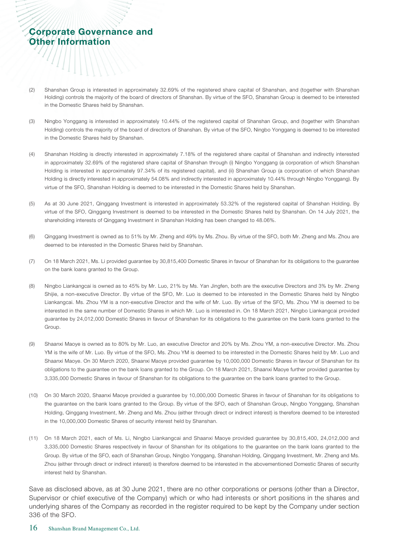- (2) Shanshan Group is interested in approximately 32.69% of the registered share capital of Shanshan, and (together with Shanshan Holding) controls the majority of the board of directors of Shanshan. By virtue of the SFO, Shanshan Group is deemed to be interested in the Domestic Shares held by Shanshan.
- (3) Ningbo Yonggang is interested in approximately 10.44% of the registered capital of Shanshan Group, and (together with Shanshan Holding) controls the majority of the board of directors of Shanshan. By virtue of the SFO, Ningbo Yonggang is deemed to be interested in the Domestic Shares held by Shanshan.
- (4) Shanshan Holding is directly interested in approximately 7.18% of the registered share capital of Shanshan and indirectly interested in approximately 32.69% of the registered share capital of Shanshan through (i) Ningbo Yonggang (a corporation of which Shanshan Holding is interested in approximately 97.34% of its registered capital), and (ii) Shanshan Group (a corporation of which Shanshan Holding is directly interested in approximately 54.08% and indirectly interested in approximately 10.44% through Ningbo Yonggang). By virtue of the SFO, Shanshan Holding is deemed to be interested in the Domestic Shares held by Shanshan.
- (5) As at 30 June 2021, Qinggang Investment is interested in approximately 53.32% of the registered capital of Shanshan Holding. By virtue of the SFO, Qinggang Investment is deemed to be interested in the Domestic Shares held by Shanshan. On 14 July 2021, the shareholding interests of Qinggang Investment in Shanshan Holding has been changed to 48.06%.
- (6) Qinggang Investment is owned as to 51% by Mr. Zheng and 49% by Ms. Zhou. By virtue of the SFO, both Mr. Zheng and Ms. Zhou are deemed to be interested in the Domestic Shares held by Shanshan.
- (7) On 18 March 2021, Ms. Li provided guarantee by 30,815,400 Domestic Shares in favour of Shanshan for its obligations to the guarantee on the bank loans granted to the Group.
- (8) Ningbo Liankangcai is owned as to 45% by Mr. Luo, 21% by Ms. Yan Jingfen, both are the executive Directors and 3% by Mr. Zheng Shijie, a non-executive Director. By virtue of the SFO, Mr. Luo is deemed to be interested in the Domestic Shares held by Ningbo Liankangcai. Ms. Zhou YM is a non-executive Director and the wife of Mr. Luo. By virtue of the SFO, Ms. Zhou YM is deemed to be interested in the same number of Domestic Shares in which Mr. Luo is interested in. On 18 March 2021, Ningbo Liankangcai provided guarantee by 24,012,000 Domestic Shares in favour of Shanshan for its obligations to the guarantee on the bank loans granted to the Group.
- (9) Shaanxi Maoye is owned as to 80% by Mr. Luo, an executive Director and 20% by Ms. Zhou YM, a non-executive Director. Ms. Zhou YM is the wife of Mr. Luo. By virtue of the SFO, Ms. Zhou YM is deemed to be interested in the Domestic Shares held by Mr. Luo and Shaanxi Maoye. On 30 March 2020, Shaanxi Maoye provided guarantee by 10,000,000 Domestic Shares in favour of Shanshan for its obligations to the guarantee on the bank loans granted to the Group. On 18 March 2021, Shaanxi Maoye further provided guarantee by 3,335,000 Domestic Shares in favour of Shanshan for its obligations to the guarantee on the bank loans granted to the Group.
- (10) On 30 March 2020, Shaanxi Maoye provided a guarantee by 10,000,000 Domestic Shares in favour of Shanshan for its obligations to the guarantee on the bank loans granted to the Group. By virtue of the SFO, each of Shanshan Group, Ningbo Yonggang, Shanshan Holding, Qinggang Investment, Mr. Zheng and Ms. Zhou (either through direct or indirect interest) is therefore deemed to be interested in the 10,000,000 Domestic Shares of security interest held by Shanshan.
- (11) On 18 March 2021, each of Ms. Li, Ningbo Liankangcai and Shaanxi Maoye provided guarantee by 30,815,400, 24,012,000 and 3,335,000 Domestic Shares respectively in favour of Shanshan for its obligations to the guarantee on the bank loans granted to the Group. By virtue of the SFO, each of Shanshan Group, Ningbo Yonggang, Shanshan Holding, Qinggang Investment, Mr. Zheng and Ms. Zhou (either through direct or indirect interest) is therefore deemed to be interested in the abovementioned Domestic Shares of security interest held by Shanshan.

Save as disclosed above, as at 30 June 2021, there are no other corporations or persons (other than a Director, Supervisor or chief executive of the Company) which or who had interests or short positions in the shares and underlying shares of the Company as recorded in the register required to be kept by the Company under section 336 of the SFO.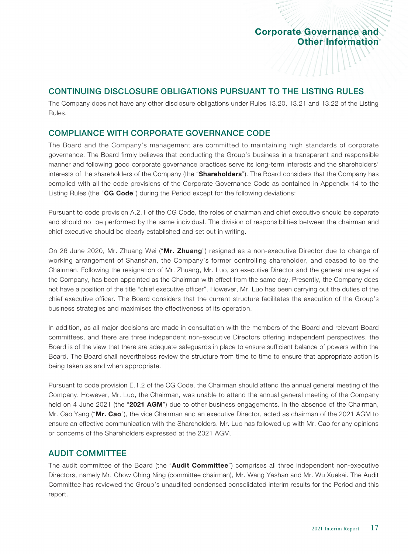////////

#### CONTINUING DISCLOSURE OBLIGATIONS PURSUANT TO THE LISTING RULES

The Company does not have any other disclosure obligations under Rules 13.20, 13.21 and 13.22 of the Listing Rules.

#### COMPLIANCE WITH CORPORATE GOVERNANCE CODE

The Board and the Company's management are committed to maintaining high standards of corporate governance. The Board firmly believes that conducting the Group's business in a transparent and responsible manner and following good corporate governance practices serve its long-term interests and the shareholders' interests of the shareholders of the Company (the "Shareholders"). The Board considers that the Company has complied with all the code provisions of the Corporate Governance Code as contained in Appendix 14 to the Listing Rules (the "CG Code") during the Period except for the following deviations:

Pursuant to code provision A.2.1 of the CG Code, the roles of chairman and chief executive should be separate and should not be performed by the same individual. The division of responsibilities between the chairman and chief executive should be clearly established and set out in writing.

On 26 June 2020, Mr. Zhuang Wei ("Mr. Zhuang") resigned as a non-executive Director due to change of working arrangement of Shanshan, the Company's former controlling shareholder, and ceased to be the Chairman. Following the resignation of Mr. Zhuang, Mr. Luo, an executive Director and the general manager of the Company, has been appointed as the Chairman with effect from the same day. Presently, the Company does not have a position of the title "chief executive officer". However, Mr. Luo has been carrying out the duties of the chief executive officer. The Board considers that the current structure facilitates the execution of the Group's business strategies and maximises the effectiveness of its operation.

In addition, as all major decisions are made in consultation with the members of the Board and relevant Board committees, and there are three independent non-executive Directors offering independent perspectives, the Board is of the view that there are adequate safeguards in place to ensure sufficient balance of powers within the Board. The Board shall nevertheless review the structure from time to time to ensure that appropriate action is being taken as and when appropriate.

Pursuant to code provision E.1.2 of the CG Code, the Chairman should attend the annual general meeting of the Company. However, Mr. Luo, the Chairman, was unable to attend the annual general meeting of the Company held on 4 June 2021 (the "2021 AGM") due to other business engagements. In the absence of the Chairman, Mr. Cao Yang ("Mr. Cao"), the vice Chairman and an executive Director, acted as chairman of the 2021 AGM to ensure an effective communication with the Shareholders. Mr. Luo has followed up with Mr. Cao for any opinions or concerns of the Shareholders expressed at the 2021 AGM.

#### AUDIT COMMITTEE

The audit committee of the Board (the "Audit Committee") comprises all three independent non-executive Directors, namely Mr. Chow Ching Ning (committee chairman), Mr. Wang Yashan and Mr. Wu Xuekai. The Audit Committee has reviewed the Group's unaudited condensed consolidated interim results for the Period and this report.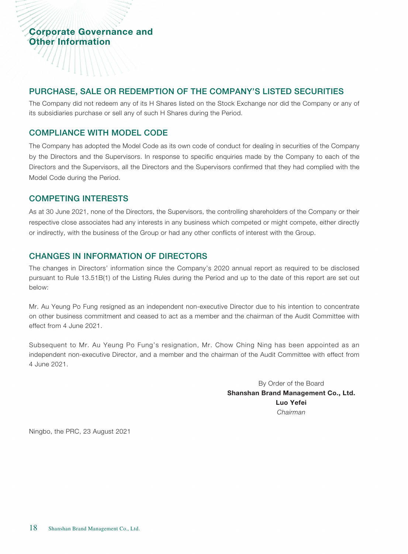#### PURCHASE, SALE OR REDEMPTION OF THE COMPANY'S LISTED SECURITIES

The Company did not redeem any of its H Shares listed on the Stock Exchange nor did the Company or any of its subsidiaries purchase or sell any of such H Shares during the Period.

#### COMPLIANCE WITH MODEL CODE

The Company has adopted the Model Code as its own code of conduct for dealing in securities of the Company by the Directors and the Supervisors. In response to specific enquiries made by the Company to each of the Directors and the Supervisors, all the Directors and the Supervisors confirmed that they had complied with the Model Code during the Period.

#### COMPETING INTERESTS

As at 30 June 2021, none of the Directors, the Supervisors, the controlling shareholders of the Company or their respective close associates had any interests in any business which competed or might compete, either directly or indirectly, with the business of the Group or had any other conflicts of interest with the Group.

#### CHANGES IN INFORMATION OF DIRECTORS

The changes in Directors' information since the Company's 2020 annual report as required to be disclosed pursuant to Rule 13.51B(1) of the Listing Rules during the Period and up to the date of this report are set out below:

Mr. Au Yeung Po Fung resigned as an independent non-executive Director due to his intention to concentrate on other business commitment and ceased to act as a member and the chairman of the Audit Committee with effect from 4 June 2021.

Subsequent to Mr. Au Yeung Po Fung's resignation, Mr. Chow Ching Ning has been appointed as an independent non-executive Director, and a member and the chairman of the Audit Committee with effect from 4 June 2021.

> By Order of the Board Shanshan Brand Management Co., Ltd. Luo Yefei *Chairman*

Ningbo, the PRC, 23 August 2021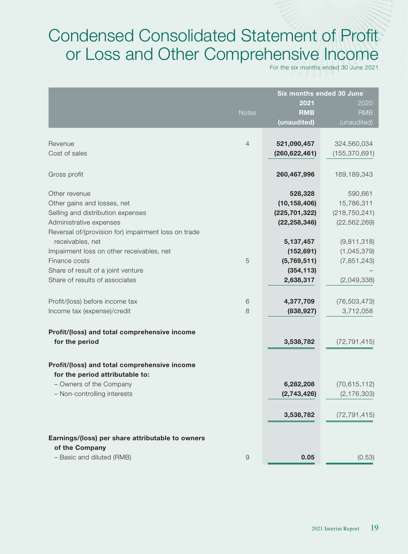# Condensed Consolidated Statement of Profit or Loss and Other Comprehensive Income

For the six months ended 30 June 2021

|                                                      | Six months ended 30 June |                 |                 |  |  |
|------------------------------------------------------|--------------------------|-----------------|-----------------|--|--|
|                                                      |                          | 2021<br>2020    |                 |  |  |
|                                                      | <b>Notes</b>             | <b>RMB</b>      | <b>RMB</b>      |  |  |
|                                                      |                          | (unaudited)     | (unaudited)     |  |  |
|                                                      |                          |                 |                 |  |  |
| Revenue                                              | $\overline{4}$           | 521,090,457     | 324,560,034     |  |  |
| Cost of sales                                        |                          | (260, 622, 461) | (155, 370, 691) |  |  |
|                                                      |                          |                 |                 |  |  |
| Gross profit                                         |                          | 260,467,996     | 169,189,343     |  |  |
|                                                      |                          |                 |                 |  |  |
| Other revenue                                        |                          | 528,328         | 590,661         |  |  |
| Other gains and losses, net                          |                          | (10, 158, 406)  | 15,786,311      |  |  |
| Selling and distribution expenses                    |                          | (225, 701, 322) | (218, 750, 241) |  |  |
| Administrative expenses                              |                          | (22, 258, 346)  | (22, 562, 269)  |  |  |
| Reversal of/(provision for) impairment loss on trade |                          |                 |                 |  |  |
| receivables, net                                     |                          | 5,137,457       | (9,811,318)     |  |  |
| Impairment loss on other receivables, net            |                          | (152, 691)      | (1,045,379)     |  |  |
| Finance costs                                        | 5                        | (5,769,511)     | (7, 851, 243)   |  |  |
| Share of result of a joint venture                   |                          | (354, 113)      |                 |  |  |
| Share of results of associates                       |                          | 2,638,317       | (2,049,338)     |  |  |
|                                                      |                          |                 |                 |  |  |
| Profit/(loss) before income tax                      | 6                        | 4,377,709       | (76, 503, 473)  |  |  |
| Income tax (expense)/credit                          | 8                        | (838, 927)      | 3,712,058       |  |  |
|                                                      |                          |                 |                 |  |  |
| Profit/(loss) and total comprehensive income         |                          |                 |                 |  |  |
| for the period                                       |                          | 3,538,782       | (72, 791, 415)  |  |  |
|                                                      |                          |                 |                 |  |  |
| Profit/(loss) and total comprehensive income         |                          |                 |                 |  |  |
| for the period attributable to:                      |                          |                 |                 |  |  |
| - Owners of the Company                              |                          | 6,282,208       | (70, 615, 112)  |  |  |
| - Non-controlling interests                          |                          | (2,743,426)     | (2, 176, 303)   |  |  |
|                                                      |                          |                 |                 |  |  |
|                                                      |                          | 3,538,782       | (72, 791, 415)  |  |  |
|                                                      |                          |                 |                 |  |  |
| Earnings/(loss) per share attributable to owners     |                          |                 |                 |  |  |
| of the Company                                       |                          |                 |                 |  |  |
| - Basic and diluted (RMB)                            | $\Theta$                 | 0.05            | (0.53)          |  |  |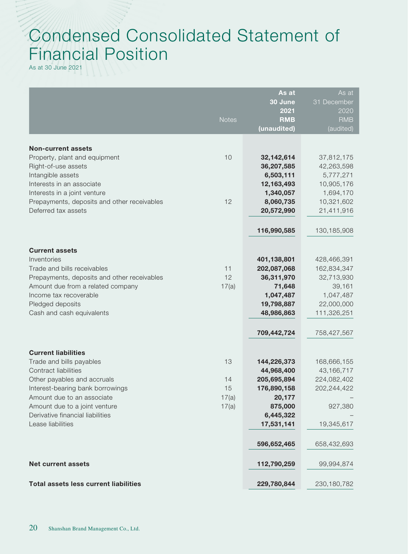# Condensed Consolidated Statement of Financial Position

As at 30 June 2021

|                                                                                                    |                | As at<br>30 June<br>2021              | As at<br>31 December<br>2020          |
|----------------------------------------------------------------------------------------------------|----------------|---------------------------------------|---------------------------------------|
|                                                                                                    | <b>Notes</b>   | <b>RMB</b><br>(unaudited)             | <b>RMB</b><br>(audited)               |
| <b>Non-current assets</b><br>Property, plant and equipment                                         | 10             | 32,142,614                            | 37,812,175                            |
| Right-of-use assets<br>Intangible assets<br>Interests in an associate                              |                | 36,207,585<br>6,503,111<br>12,163,493 | 42,263,598<br>5,777,271<br>10,905,176 |
| Interests in a joint venture<br>Prepayments, deposits and other receivables<br>Deferred tax assets | 12             | 1,340,057<br>8,060,735<br>20,572,990  | 1,694,170<br>10,321,602<br>21,411,916 |
|                                                                                                    |                | 116,990,585                           | 130, 185, 908                         |
| <b>Current assets</b>                                                                              |                |                                       |                                       |
| Inventories<br>Trade and bills receivables                                                         | 11             | 401,138,801<br>202,087,068            | 428,466,391<br>162,834,347            |
| Prepayments, deposits and other receivables                                                        | 12             | 36,311,970                            | 32,713,930                            |
| Amount due from a related company<br>Income tax recoverable                                        | 17(a)          | 71,648                                | 39,161                                |
| Pledged deposits                                                                                   |                | 1,047,487<br>19,798,887               | 1,047,487<br>22,000,000               |
| Cash and cash equivalents                                                                          |                | 48,986,863                            | 111,326,251                           |
|                                                                                                    |                | 709,442,724                           | 758,427,567                           |
| <b>Current liabilities</b>                                                                         |                |                                       |                                       |
| Trade and bills payables<br>Contract liabilities                                                   | 13             | 144,226,373<br>44,968,400             | 168,666,155<br>43,166,717             |
| Other payables and accruals                                                                        | 14             | 205,695,894                           | 224,082,402                           |
| Interest-bearing bank borrowings                                                                   | 15             | 176,890,158                           | 202,244,422                           |
| Amount due to an associate<br>Amount due to a joint venture                                        | 17(a)<br>17(a) | 20,177<br>875,000                     | 927,380                               |
| Derivative financial liabilities                                                                   |                | 6,445,322                             |                                       |
| Lease liabilities                                                                                  |                | 17,531,141                            | 19,345,617                            |
|                                                                                                    |                | 596,652,465                           | 658,432,693                           |
| <b>Net current assets</b>                                                                          |                | 112,790,259                           | 99,994,874                            |
| <b>Total assets less current liabilities</b>                                                       |                | 229,780,844                           | 230, 180, 782                         |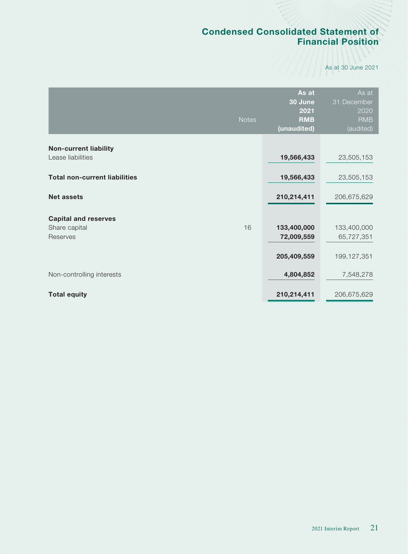# Condensed Consolidated Statement of Financial Position

As at 30 June 2021

|                                                   | <b>Notes</b> | As at<br>30 June<br>2021<br><b>RMB</b><br>(unaudited) | As at<br>31 December<br>2020<br><b>RMB</b><br>(audited) |
|---------------------------------------------------|--------------|-------------------------------------------------------|---------------------------------------------------------|
| <b>Non-current liability</b><br>Lease liabilities |              | 19,566,433                                            | 23,505,153                                              |
| <b>Total non-current liabilities</b>              |              | 19,566,433                                            | 23,505,153                                              |
| <b>Net assets</b>                                 |              | 210,214,411                                           | 206,675,629                                             |
| <b>Capital and reserves</b>                       |              |                                                       |                                                         |
| Share capital<br>Reserves                         | 16           | 133,400,000<br>72,009,559                             | 133,400,000<br>65,727,351                               |
|                                                   |              | 205,409,559                                           | 199, 127, 351                                           |
| Non-controlling interests                         |              | 4,804,852                                             | 7,548,278                                               |
| <b>Total equity</b>                               |              | 210,214,411                                           | 206,675,629                                             |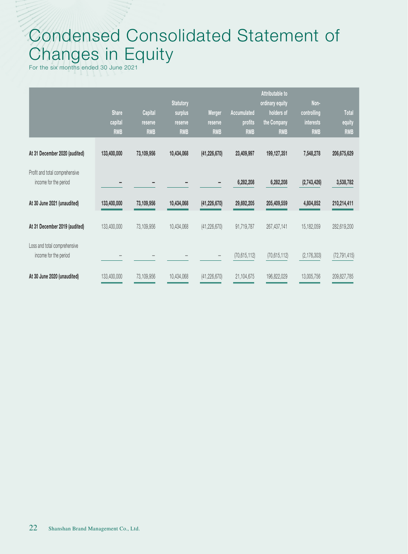# Condensed Consolidated Statement of Changes in Equity

For the six months ended 30 June 2021

|                                                         | <b>Share</b><br>capital<br><b>RMB</b> | <b>Capital</b><br>reserve<br><b>RMB</b> | <b>Statutory</b><br>surplus<br>reserve<br><b>RMB</b> | Merger<br>reserve<br><b>RMB</b> | Accumulated<br>profits<br><b>RMB</b> | Attributable to<br>ordinary equity<br>holders of<br>the Company<br><b>RMB</b> | Non-<br>controlling<br><b>interests</b><br><b>RMB</b> | <b>Total</b><br>equity<br><b>RMB</b> |
|---------------------------------------------------------|---------------------------------------|-----------------------------------------|------------------------------------------------------|---------------------------------|--------------------------------------|-------------------------------------------------------------------------------|-------------------------------------------------------|--------------------------------------|
| At 31 December 2020 (audited)                           | 133,400,000                           | 73,109,956                              | 10,434,068                                           | (41, 226, 670)                  | 23,409,997                           | 199, 127, 351                                                                 | 7,548,278                                             | 206,675,629                          |
| Profit and total comprehensive<br>income for the period |                                       |                                         |                                                      |                                 | 6,282,208                            | 6,282,208                                                                     | (2,743,426)                                           | 3,538,782                            |
| At 30 June 2021 (unaudited)                             | 133,400,000                           | 73,109,956                              | 10,434,068                                           | (41, 226, 670)                  | 29,692,205                           | 205,409,559                                                                   | 4,804,852                                             | 210,214,411                          |
| At 31 December 2019 (audited)                           | 133,400,000                           | 73,109,956                              | 10,434,068                                           | (41, 226, 670)                  | 91,719,787                           | 267,437,141                                                                   | 15, 182, 059                                          | 282,619,200                          |
| Loss and total comprehensive<br>income for the period   |                                       |                                         |                                                      |                                 | (70, 615, 112)                       | (70, 615, 112)                                                                | (2, 176, 303)                                         | (72, 791, 415)                       |
| At 30 June 2020 (unaudited)                             | 133,400,000                           | 73,109,956                              | 10,434,068                                           | (41, 226, 670)                  | 21,104,675                           | 196,822,029                                                                   | 13,005,756                                            | 209,827,785                          |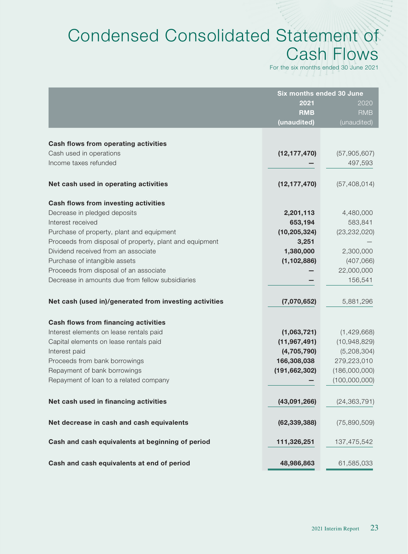# Condensed Consolidated Statement of Cash Flows

For the six months ended 30 June 2021

|                                                         | Six months ended 30 June |                |
|---------------------------------------------------------|--------------------------|----------------|
|                                                         | 2021                     | 2020           |
|                                                         | <b>RMB</b>               | <b>RMB</b>     |
|                                                         | (unaudited)              | (unaudited)    |
|                                                         |                          |                |
| <b>Cash flows from operating activities</b>             |                          |                |
| Cash used in operations                                 | (12, 177, 470)           | (57,905,607)   |
| Income taxes refunded                                   |                          | 497,593        |
| Net cash used in operating activities                   | (12, 177, 470)           | (57, 408, 014) |
| <b>Cash flows from investing activities</b>             |                          |                |
| Decrease in pledged deposits                            | 2,201,113                | 4,480,000      |
| Interest received                                       | 653,194                  | 583,841        |
| Purchase of property, plant and equipment               | (10, 205, 324)           | (23, 232, 020) |
| Proceeds from disposal of property, plant and equipment | 3,251                    |                |
| Dividend received from an associate                     | 1,380,000                | 2,300,000      |
| Purchase of intangible assets                           | (1, 102, 886)            | (407,066)      |
| Proceeds from disposal of an associate                  |                          | 22,000,000     |
| Decrease in amounts due from fellow subsidiaries        |                          | 156,541        |
| Net cash (used in)/generated from investing activities  | (7,070,652)              | 5,881,296      |
|                                                         |                          |                |
| <b>Cash flows from financing activities</b>             |                          |                |
| Interest elements on lease rentals paid                 | (1,063,721)              | (1,429,668)    |
| Capital elements on lease rentals paid                  | (11, 967, 491)           | (10,948,829)   |
| Interest paid                                           | (4,705,790)              | (5,208,304)    |
| Proceeds from bank borrowings                           | 166,308,038              | 279,223,010    |
| Repayment of bank borrowings                            | (191, 662, 302)          | (186,000,000)  |
| Repayment of loan to a related company                  |                          | (100,000,000)  |
| Net cash used in financing activities                   | (43,091,266)             | (24, 363, 791) |
|                                                         |                          |                |
| Net decrease in cash and cash equivalents               | (62, 339, 388)           | (75,890,509)   |
| Cash and cash equivalents at beginning of period        | 111,326,251              | 137,475,542    |
| Cash and cash equivalents at end of period              | 48,986,863               | 61,585,033     |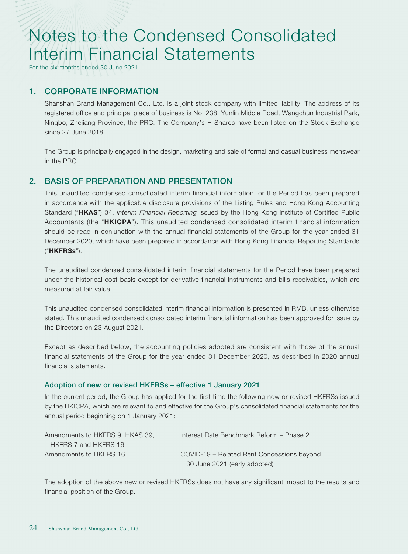For the six months ended 30 June 2021

### 1. CORPORATE INFORMATION

Shanshan Brand Management Co., Ltd. is a joint stock company with limited liability. The address of its registered office and principal place of business is No. 238, Yunlin Middle Road, Wangchun Industrial Park, Ningbo, Zhejiang Province, the PRC. The Company's H Shares have been listed on the Stock Exchange since 27 June 2018.

The Group is principally engaged in the design, marketing and sale of formal and casual business menswear in the PRC.

#### 2. BASIS OF PREPARATION AND PRESENTATION

This unaudited condensed consolidated interim financial information for the Period has been prepared in accordance with the applicable disclosure provisions of the Listing Rules and Hong Kong Accounting Standard ("HKAS") 34, *Interim Financial Reporting* issued by the Hong Kong Institute of Certified Public Accountants (the "HKICPA"). This unaudited condensed consolidated interim financial information should be read in conjunction with the annual financial statements of the Group for the year ended 31 December 2020, which have been prepared in accordance with Hong Kong Financial Reporting Standards ("HKFRSs").

The unaudited condensed consolidated interim financial statements for the Period have been prepared under the historical cost basis except for derivative financial instruments and bills receivables, which are measured at fair value.

This unaudited condensed consolidated interim financial information is presented in RMB, unless otherwise stated. This unaudited condensed consolidated interim financial information has been approved for issue by the Directors on 23 August 2021.

Except as described below, the accounting policies adopted are consistent with those of the annual financial statements of the Group for the year ended 31 December 2020, as described in 2020 annual financial statements.

#### Adoption of new or revised HKFRSs – effective 1 January 2021

In the current period, the Group has applied for the first time the following new or revised HKFRSs issued by the HKICPA, which are relevant to and effective for the Group's consolidated financial statements for the annual period beginning on 1 January 2021:

| Amendments to HKFRS 9. HKAS 39. | Interest Rate Benchmark Reform - Phase 2   |
|---------------------------------|--------------------------------------------|
| HKFRS 7 and HKFRS 16            |                                            |
| Amendments to HKFRS 16          | COVID-19 – Related Rent Concessions beyond |
|                                 | 30 June 2021 (early adopted)               |

The adoption of the above new or revised HKFRSs does not have any significant impact to the results and financial position of the Group.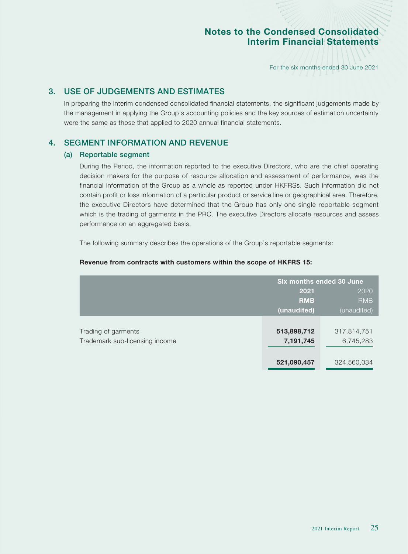For the six months ended 30 June 2021

# 3. USE OF JUDGEMENTS AND ESTIMATES

In preparing the interim condensed consolidated financial statements, the significant judgements made by the management in applying the Group's accounting policies and the key sources of estimation uncertainty were the same as those that applied to 2020 annual financial statements.

# 4. SEGMENT INFORMATION AND REVENUE

#### (a) Reportable segment

During the Period, the information reported to the executive Directors, who are the chief operating decision makers for the purpose of resource allocation and assessment of performance, was the financial information of the Group as a whole as reported under HKFRSs. Such information did not contain profit or loss information of a particular product or service line or geographical area. Therefore, the executive Directors have determined that the Group has only one single reportable segment which is the trading of garments in the PRC. The executive Directors allocate resources and assess performance on an aggregated basis.

The following summary describes the operations of the Group's reportable segments:

#### Revenue from contracts with customers within the scope of HKFRS 15:

|                                | Six months ended 30 June |             |
|--------------------------------|--------------------------|-------------|
|                                | 2021                     | 2020        |
|                                | <b>RMB</b>               | <b>RMB</b>  |
|                                | (unaudited)              | (unaudited) |
|                                |                          |             |
| Trading of garments            | 513,898,712              | 317,814,751 |
| Trademark sub-licensing income | 7,191,745                | 6,745,283   |
|                                |                          |             |
|                                | 521,090,457              | 324,560,034 |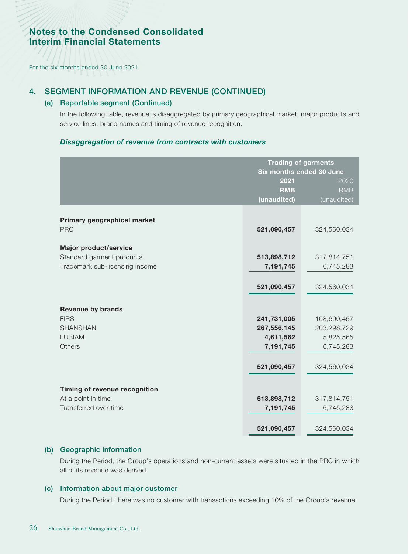For the six months ended 30 June 2021

#### 4. SEGMENT INFORMATION AND REVENUE (CONTINUED)

#### (a) Reportable segment (Continued)

In the following table, revenue is disaggregated by primary geographical market, major products and service lines, brand names and timing of revenue recognition.

#### *Disaggregation of revenue from contracts with customers*

|                                             | <b>Trading of garments</b><br>Six months ended 30 June<br>2021<br>2020 |             |
|---------------------------------------------|------------------------------------------------------------------------|-------------|
|                                             | <b>RMB</b>                                                             | <b>RMB</b>  |
|                                             | (unaudited)                                                            | (unaudited) |
| Primary geographical market<br><b>PRC</b>   | 521,090,457                                                            | 324,560,034 |
| <b>Major product/service</b>                |                                                                        |             |
| Standard garment products                   | 513,898,712                                                            | 317,814,751 |
| Trademark sub-licensing income              | 7,191,745                                                              | 6,745,283   |
|                                             |                                                                        |             |
|                                             | 521,090,457                                                            | 324,560,034 |
|                                             |                                                                        |             |
| <b>Revenue by brands</b><br><b>FIRS</b>     | 241,731,005                                                            | 108,690,457 |
| <b>SHANSHAN</b>                             | 267,556,145                                                            | 203,298,729 |
| <b>LUBIAM</b>                               | 4,611,562                                                              | 5,825,565   |
| Others                                      | 7,191,745                                                              | 6,745,283   |
|                                             |                                                                        |             |
|                                             | 521,090,457                                                            | 324,560,034 |
|                                             |                                                                        |             |
| Timing of revenue recognition               |                                                                        |             |
| At a point in time<br>Transferred over time | 513,898,712                                                            | 317,814,751 |
|                                             | 7,191,745                                                              | 6,745,283   |
|                                             | 521,090,457                                                            | 324,560,034 |

#### (b) Geographic information

During the Period, the Group's operations and non-current assets were situated in the PRC in which all of its revenue was derived.

#### (c) Information about major customer

During the Period, there was no customer with transactions exceeding 10% of the Group's revenue.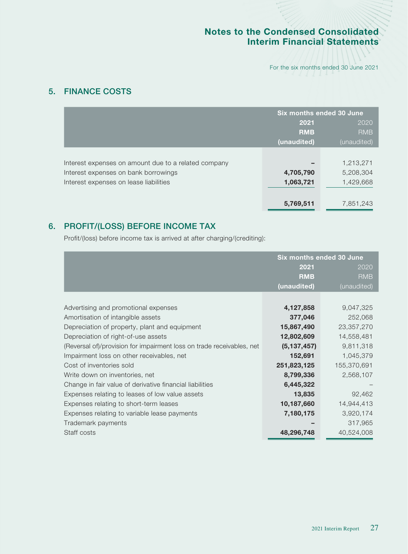For the six months ended 30 June 2021

# 5. FINANCE COSTS

|                                                      | Six months ended 30 June |             |
|------------------------------------------------------|--------------------------|-------------|
|                                                      | 2021                     | 2020        |
|                                                      | <b>RMB</b>               | <b>RMB</b>  |
|                                                      | (unaudited)              | (unaudited) |
|                                                      |                          |             |
| Interest expenses on amount due to a related company |                          | 1,213,271   |
| Interest expenses on bank borrowings                 | 4,705,790                | 5,208,304   |
| Interest expenses on lease liabilities               | 1,063,721                | 1,429,668   |
|                                                      |                          |             |
|                                                      | 5,769,511                | 7,851,243   |

# 6. PROFIT/(LOSS) BEFORE INCOME TAX

Profit/(loss) before income tax is arrived at after charging/(crediting):

|                                                                       | Six months ended 30 June |              |
|-----------------------------------------------------------------------|--------------------------|--------------|
|                                                                       | 2021                     | 2020         |
|                                                                       | <b>RMB</b>               | <b>RMB</b>   |
|                                                                       | (unaudited)              | (unaudited)  |
|                                                                       |                          |              |
| Advertising and promotional expenses                                  | 4,127,858                | 9,047,325    |
| Amortisation of intangible assets                                     | 377,046                  | 252,068      |
| Depreciation of property, plant and equipment                         | 15,867,490               | 23, 357, 270 |
| Depreciation of right-of-use assets                                   | 12,802,609               | 14,558,481   |
| (Reversal of)/provision for impairment loss on trade receivables, net | (5, 137, 457)            | 9,811,318    |
| Impairment loss on other receivables, net                             | 152,691                  | 1,045,379    |
| Cost of inventories sold                                              | 251,823,125              | 155,370,691  |
| Write down on inventories, net                                        | 8,799,336                | 2,568,107    |
| Change in fair value of derivative financial liabilities              | 6,445,322                |              |
| Expenses relating to leases of low value assets                       | 13,835                   | 92,462       |
| Expenses relating to short-term leases                                | 10,187,660               | 14,944,413   |
| Expenses relating to variable lease payments                          | 7,180,175                | 3,920,174    |
| Trademark payments                                                    |                          | 317,965      |
| Staff costs                                                           | 48,296,748               | 40,524,008   |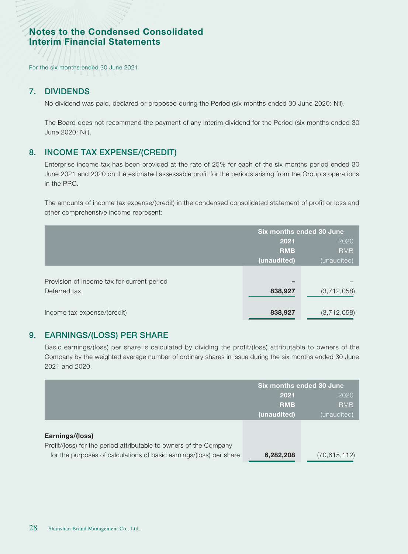For the six months ended 30 June 2021

#### 7. DIVIDENDS

No dividend was paid, declared or proposed during the Period (six months ended 30 June 2020: Nil).

The Board does not recommend the payment of any interim dividend for the Period (six months ended 30 June 2020: Nil).

# 8. INCOME TAX EXPENSE/(CREDIT)

Enterprise income tax has been provided at the rate of 25% for each of the six months period ended 30 June 2021 and 2020 on the estimated assessable profit for the periods arising from the Group's operations in the PRC.

The amounts of income tax expense/(credit) in the condensed consolidated statement of profit or loss and other comprehensive income represent:

|                                            | Six months ended 30 June |             |
|--------------------------------------------|--------------------------|-------------|
|                                            | 2021                     | 2020        |
|                                            | <b>RMB</b>               | <b>RMB</b>  |
|                                            | (unaudited)              | (unaudited) |
|                                            |                          |             |
| Provision of income tax for current period |                          |             |
| Deferred tax                               | 838,927                  | (3,712,058) |
|                                            |                          |             |
| Income tax expense/(credit)                | 838,927                  | (3,712,058) |

#### 9. EARNINGS/(LOSS) PER SHARE

Basic earnings/(loss) per share is calculated by dividing the profit/(loss) attributable to owners of the Company by the weighted average number of ordinary shares in issue during the six months ended 30 June 2021 and 2020.

|                                                                     | Six months ended 30 June |                |
|---------------------------------------------------------------------|--------------------------|----------------|
|                                                                     | 2021                     | 2020           |
|                                                                     | <b>RMB</b>               | <b>RMB</b>     |
|                                                                     | (unaudited)              | (unaudited)    |
|                                                                     |                          |                |
| Earnings/(loss)                                                     |                          |                |
| Profit/(loss) for the period attributable to owners of the Company  |                          |                |
| for the purposes of calculations of basic earnings/(loss) per share | 6,282,208                | (70, 615, 112) |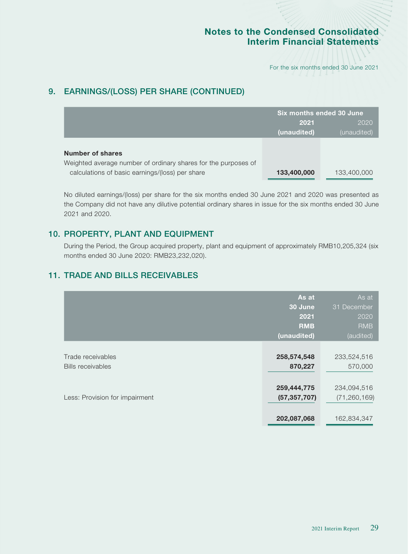For the six months ended 30 June 2021

# 9. EARNINGS/(LOSS) PER SHARE (CONTINUED)

|                                                                | Six months ended 30 June |             |
|----------------------------------------------------------------|--------------------------|-------------|
|                                                                | 2021                     | 2020        |
|                                                                | (unaudited)              | (unaudited) |
|                                                                |                          |             |
| Number of shares                                               |                          |             |
| Weighted average number of ordinary shares for the purposes of |                          |             |
| calculations of basic earnings/(loss) per share                | 133,400,000              | 133,400,000 |

No diluted earnings/(loss) per share for the six months ended 30 June 2021 and 2020 was presented as the Company did not have any dilutive potential ordinary shares in issue for the six months ended 30 June 2021 and 2020.

# 10. PROPERTY, PLANT AND EQUIPMENT

During the Period, the Group acquired property, plant and equipment of approximately RMB10,205,324 (six months ended 30 June 2020: RMB23,232,020).

# 11. TRADE AND BILLS RECEIVABLES

| As at          | As at          |
|----------------|----------------|
| 30 June        | 31 December    |
| 2021           | 2020           |
| <b>RMB</b>     | <b>RMB</b>     |
| (unaudited)    | (audited)      |
| 258,574,548    | 233,524,516    |
| 870,227        | 570,000        |
| 259,444,775    | 234,094,516    |
| (57, 357, 707) | (71, 260, 169) |
|                | 202,087,068    |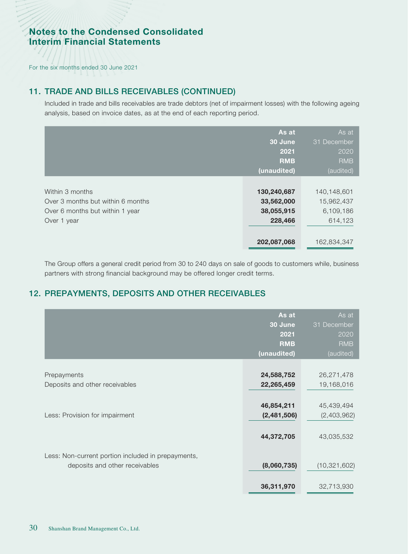For the six months ended 30 June 2021

# 11. TRADE AND BILLS RECEIVABLES (CONTINUED)

Included in trade and bills receivables are trade debtors (net of impairment losses) with the following ageing analysis, based on invoice dates, as at the end of each reporting period.

|                                   | As at<br>30 June<br>2021  | As at<br>31 December<br>2020 |
|-----------------------------------|---------------------------|------------------------------|
|                                   | <b>RMB</b><br>(unaudited) | <b>RMB</b><br>(audited)      |
|                                   |                           |                              |
| Within 3 months                   | 130,240,687               | 140,148,601                  |
| Over 3 months but within 6 months | 33,562,000                | 15,962,437                   |
| Over 6 months but within 1 year   | 38,055,915                | 6,109,186                    |
| Over 1 year                       | 228,466                   | 614,123                      |
|                                   |                           |                              |
|                                   | 202,087,068               | 162,834,347                  |

The Group offers a general credit period from 30 to 240 days on sale of goods to customers while, business partners with strong financial background may be offered longer credit terms.

# 12. PREPAYMENTS, DEPOSITS AND OTHER RECEIVABLES

|                                                                                      | As at<br>30 June<br>2021<br><b>RMB</b><br>(unaudited) | As at<br>December<br>31<br>2020<br><b>RMB</b><br>(audited) |
|--------------------------------------------------------------------------------------|-------------------------------------------------------|------------------------------------------------------------|
| Prepayments<br>Deposits and other receivables                                        | 24,588,752<br>22,265,459                              | 26,271,478<br>19,168,016                                   |
| Less: Provision for impairment                                                       | 46,854,211<br>(2,481,506)                             | 45,439,494<br>(2,403,962)                                  |
| Less: Non-current portion included in prepayments,<br>deposits and other receivables | 44,372,705<br>(8,060,735)                             | 43,035,532<br>(10, 321, 602)                               |
|                                                                                      | 36,311,970                                            | 32,713,930                                                 |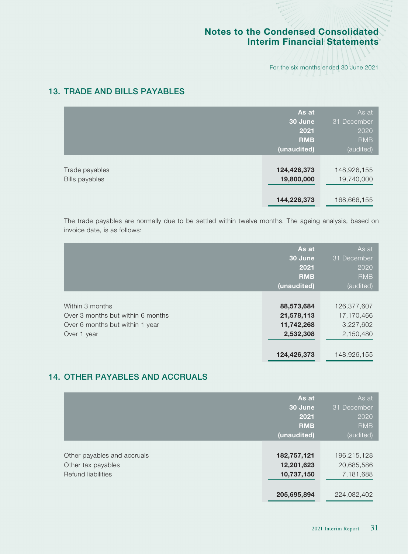For the six months ended 30 June 2021

# 13. TRADE AND BILLS PAYABLES

|                                         | As at<br>30 June<br>2021<br><b>RMB</b><br>(unaudited) | As at<br>31 December<br>2020<br><b>RMB</b><br>(audited) |
|-----------------------------------------|-------------------------------------------------------|---------------------------------------------------------|
| Trade payables<br><b>Bills payables</b> | 124,426,373<br>19,800,000<br>144,226,373              | 148,926,155<br>19,740,000<br>168,666,155                |

The trade payables are normally due to be settled within twelve months. The ageing analysis, based on invoice date, is as follows:

|                                                                                                        | As at<br>30 June<br>2021<br><b>RMB</b><br>(unaudited)              | As at<br>31 December<br>2020<br><b>RMB</b><br>(audited)            |
|--------------------------------------------------------------------------------------------------------|--------------------------------------------------------------------|--------------------------------------------------------------------|
| Within 3 months<br>Over 3 months but within 6 months<br>Over 6 months but within 1 year<br>Over 1 year | 88,573,684<br>21,578,113<br>11,742,268<br>2,532,308<br>124,426,373 | 126,377,607<br>17,170,466<br>3,227,602<br>2,150,480<br>148,926,155 |

# 14. OTHER PAYABLES AND ACCRUALS

|                                                                         | As at<br>30 June<br>2021                | As at<br>31 December<br>2020           |
|-------------------------------------------------------------------------|-----------------------------------------|----------------------------------------|
|                                                                         | <b>RMB</b>                              | <b>RMB</b>                             |
|                                                                         | (unaudited)                             | (audited)                              |
| Other payables and accruals<br>Other tax payables<br>Refund liabilities | 182,757,121<br>12,201,623<br>10,737,150 | 196,215,128<br>20,685,586<br>7,181,688 |
|                                                                         | 205,695,894                             | 224,082,402                            |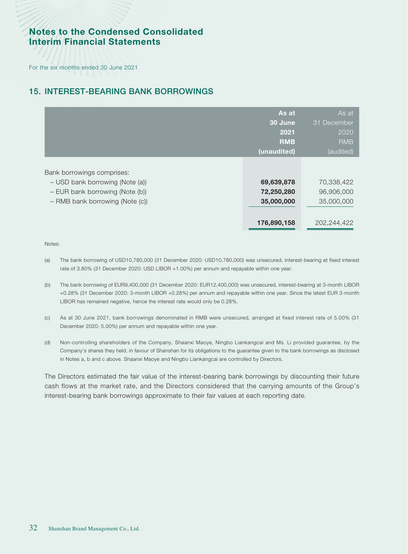For the six months ended 30 June 2021

# 15. INTEREST-BEARING BANK BORROWINGS

|                                                                                                                                     | As at<br>30 June<br>2021<br><b>RMB</b><br>(unaudited) | As at<br>31 December<br>2020<br><b>RMB</b><br>(audited) |
|-------------------------------------------------------------------------------------------------------------------------------------|-------------------------------------------------------|---------------------------------------------------------|
| Bank borrowings comprises:<br>- USD bank borrowing (Note (a))<br>- EUR bank borrowing (Note (b))<br>- RMB bank borrowing (Note (c)) | 69,639,878<br>72,250,280<br>35,000,000                | 70,338,422<br>96,906,000<br>35,000,000                  |
|                                                                                                                                     | 176,890,158                                           | 202,244,422                                             |

Notes:

- (a) The bank borrowing of USD10,780,000 (31 December 2020: USD10,780,000) was unsecured, interest-bearing at fixed interest rate of 3.80% (31 December 2020: USD LIBOR +1.00%) per annum and repayable within one year.
- (b) The bank borrowing of EUR9,400,000 (31 December 2020: EUR12,400,000) was unsecured, interest-bearing at 3-month LIBOR +0.28% (31 December 2020: 3-month LIBOR +0.28%) per annum and repayable within one year. Since the latest EUR 3-month LIBOR has remained negative, hence the interest rate would only be 0.28%.
- (c) As at 30 June 2021, bank borrowings denominated in RMB were unsecured, arranged at fixed interest rate of 5.00% (31 December 2020: 5.00%) per annum and repayable within one year.
- (d) Non-controlling shareholders of the Company, Shaanxi Maoye, Ningbo Liankangcai and Ms. Li provided guarantee, by the Company's shares they held, in favour of Shanshan for its obligations to the guarantee given to the bank borrowings as disclosed in Notes a, b and c above. Shaanxi Maoye and Ningbo Liankangcai are controlled by Directors.

The Directors estimated the fair value of the interest-bearing bank borrowings by discounting their future cash flows at the market rate, and the Directors considered that the carrying amounts of the Group's interest-bearing bank borrowings approximate to their fair values at each reporting date.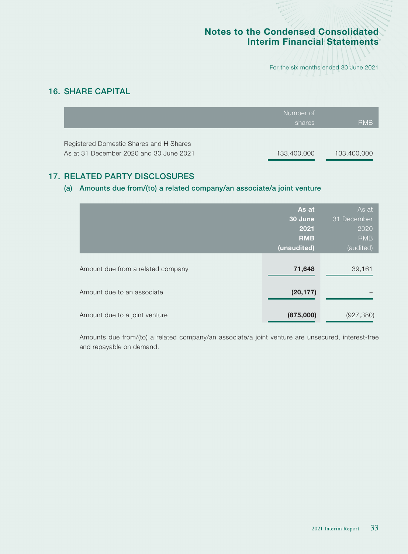For the six months ended 30 June 2021

# 16. SHARE CAPITAL

|                                                                                    | Number of<br>shares | <b>RMB</b>  |
|------------------------------------------------------------------------------------|---------------------|-------------|
| Registered Domestic Shares and H Shares<br>As at 31 December 2020 and 30 June 2021 | 133,400,000         | 133,400,000 |

# 17. RELATED PARTY DISCLOSURES

#### (a) Amounts due from/(to) a related company/an associate/a joint venture

|                                   | As at       | As at       |
|-----------------------------------|-------------|-------------|
|                                   | 30 June     | 31 December |
|                                   | 2021        | 2020        |
|                                   | <b>RMB</b>  | <b>RMB</b>  |
|                                   | (unaudited) | (audited)   |
|                                   |             |             |
| Amount due from a related company | 71,648      | 39,161      |
|                                   |             |             |
| Amount due to an associate        | (20, 177)   |             |
|                                   |             |             |
|                                   |             |             |
| Amount due to a joint venture     | (875,000)   | (927, 380)  |

Amounts due from/(to) a related company/an associate/a joint venture are unsecured, interest-free and repayable on demand.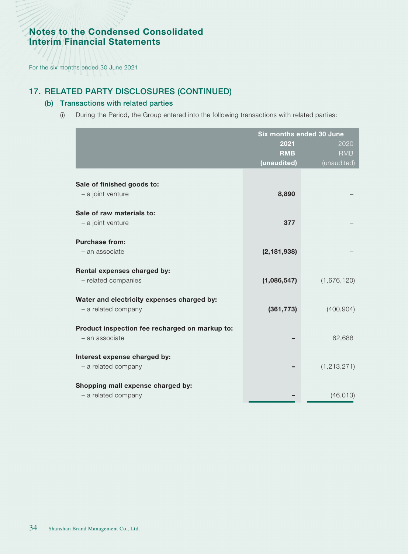For the six months ended 30 June 2021

# 17. RELATED PARTY DISCLOSURES (CONTINUED)

#### (b) Transactions with related parties

(i) During the Period, the Group entered into the following transactions with related parties:

|                                                | Six months ended 30 June |               |
|------------------------------------------------|--------------------------|---------------|
|                                                | 2021                     | 2020          |
|                                                | <b>RMB</b>               | <b>RMB</b>    |
|                                                | (unaudited)              | (unaudited)   |
|                                                |                          |               |
| Sale of finished goods to:                     |                          |               |
| - a joint venture                              | 8,890                    |               |
|                                                |                          |               |
| Sale of raw materials to:                      |                          |               |
| - a joint venture                              | 377                      |               |
| <b>Purchase from:</b>                          |                          |               |
| - an associate                                 | (2, 181, 938)            |               |
|                                                |                          |               |
| Rental expenses charged by:                    |                          |               |
| - related companies                            | (1,086,547)              | (1,676,120)   |
|                                                |                          |               |
| Water and electricity expenses charged by:     |                          |               |
| - a related company                            | (361, 773)               | (400, 904)    |
|                                                |                          |               |
| Product inspection fee recharged on markup to: |                          |               |
| - an associate                                 |                          | 62,688        |
| Interest expense charged by:                   |                          |               |
| - a related company                            |                          | (1, 213, 271) |
|                                                |                          |               |
| Shopping mall expense charged by:              |                          |               |
| - a related company                            |                          | (46, 013)     |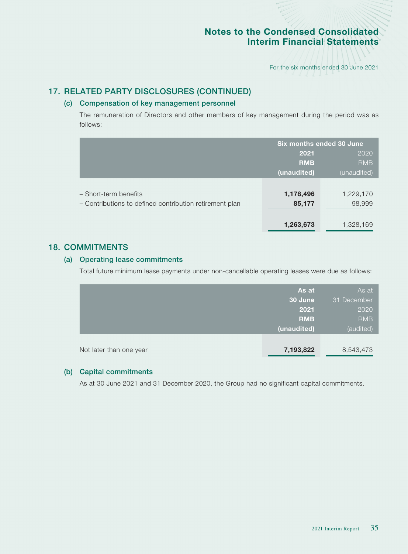For the six months ended 30 June 2021

### 17. RELATED PARTY DISCLOSURES (CONTINUED)

#### (c) Compensation of key management personnel

The remuneration of Directors and other members of key management during the period was as follows:

|                                                         | Six months ended 30 June |             |
|---------------------------------------------------------|--------------------------|-------------|
|                                                         | 2021                     | 2020        |
|                                                         | <b>RMB</b>               | <b>RMB</b>  |
|                                                         | (unaudited)              | (unaudited) |
|                                                         |                          |             |
| - Short-term benefits                                   | 1,178,496                | 1,229,170   |
| - Contributions to defined contribution retirement plan | 85,177                   | 98,999      |
|                                                         |                          |             |
|                                                         | 1,263,673                | 1,328,169   |

#### 18. COMMITMENTS

#### (a) Operating lease commitments

Total future minimum lease payments under non-cancellable operating leases were due as follows:

|                         | As at       | As at       |
|-------------------------|-------------|-------------|
|                         | 30 June     | 31 December |
|                         | 2021        | 2020        |
|                         | <b>RMB</b>  | <b>RMB</b>  |
|                         | (unaudited) | (audited)   |
|                         |             |             |
| Not later than one year | 7,193,822   | 8,543,473   |

#### (b) Capital commitments

As at 30 June 2021 and 31 December 2020, the Group had no significant capital commitments.